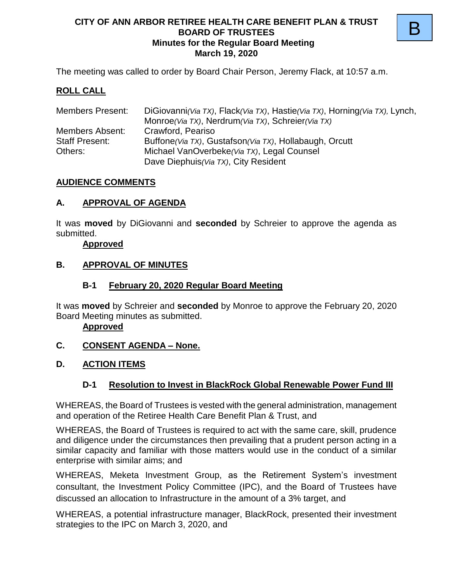#### **CITY OF ANN ARBOR RETIREE HEALTH CARE BENEFIT PLAN & TRUST BOARD OF TRUSTEES Minutes for the Regular Board Meeting March 19, 2020**

B

The meeting was called to order by Board Chair Person, Jeremy Flack, at 10:57 a.m.

#### **ROLL CALL**

| <b>Members Present:</b> | DiGiovanni (Via TX), Flack (Via TX), Hastie (Via TX), Horning (Via TX), Lynch, |
|-------------------------|--------------------------------------------------------------------------------|
|                         | Monroe(Via TX), Nerdrum(Via TX), Schreier(Via TX)                              |
| Members Absent:         | Crawford, Peariso                                                              |
| <b>Staff Present:</b>   | Buffone (Via TX), Gustafson (Via TX), Hollabaugh, Orcutt                       |
| Others:                 | Michael VanOverbeke (Via TX), Legal Counsel                                    |
|                         | Dave Diephuis (Via TX), City Resident                                          |

#### **AUDIENCE COMMENTS**

#### **A. APPROVAL OF AGENDA**

It was **moved** by DiGiovanni and **seconded** by Schreier to approve the agenda as submitted.

#### **Approved**

#### **B. APPROVAL OF MINUTES**

#### **B-1 February 20, 2020 Regular Board Meeting**

It was **moved** by Schreier and **seconded** by Monroe to approve the February 20, 2020 Board Meeting minutes as submitted.

#### **Approved**

### **C. CONSENT AGENDA – None.**

#### **D. ACTION ITEMS**

### **D-1 Resolution to Invest in BlackRock Global Renewable Power Fund III**

WHEREAS, the Board of Trustees is vested with the general administration, management and operation of the Retiree Health Care Benefit Plan & Trust, and

WHEREAS, the Board of Trustees is required to act with the same care, skill, prudence and diligence under the circumstances then prevailing that a prudent person acting in a similar capacity and familiar with those matters would use in the conduct of a similar enterprise with similar aims; and

WHEREAS, Meketa Investment Group, as the Retirement System's investment consultant, the Investment Policy Committee (IPC), and the Board of Trustees have discussed an allocation to Infrastructure in the amount of a 3% target, and

WHEREAS, a potential infrastructure manager, BlackRock, presented their investment strategies to the IPC on March 3, 2020, and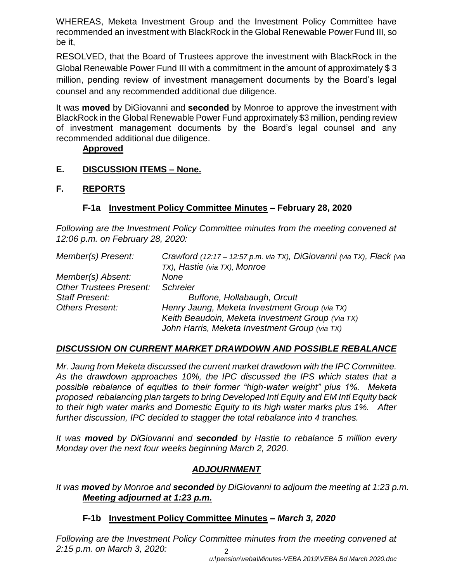WHEREAS, Meketa Investment Group and the Investment Policy Committee have recommended an investment with BlackRock in the Global Renewable Power Fund III, so be it,

RESOLVED, that the Board of Trustees approve the investment with BlackRock in the Global Renewable Power Fund III with a commitment in the amount of approximately \$ 3 million, pending review of investment management documents by the Board's legal counsel and any recommended additional due diligence.

It was **moved** by DiGiovanni and **seconded** by Monroe to approve the investment with BlackRock in the Global Renewable Power Fund approximately \$3 million, pending review of investment management documents by the Board's legal counsel and any recommended additional due diligence.

#### **Approved**

**E. DISCUSSION ITEMS – None.**

### **F. REPORTS**

### **F-1a Investment Policy Committee Minutes** *–* **February 28, 2020**

*Following are the Investment Policy Committee minutes from the meeting convened at 12:06 p.m. on February 28, 2020:*

| Member(s) Present:             | Crawford (12:17 - 12:57 p.m. via TX), DiGiovanni (via TX), Flack (via |
|--------------------------------|-----------------------------------------------------------------------|
|                                | TX), Hastie (via TX), Monroe                                          |
| Member(s) Absent:              | None                                                                  |
| <b>Other Trustees Present:</b> | <b>Schreier</b>                                                       |
| Staff Present:                 | Buffone, Hollabaugh, Orcutt                                           |
| <b>Others Present:</b>         | Henry Jaung, Meketa Investment Group (via TX)                         |
|                                | Keith Beaudoin, Meketa Investment Group (Via TX)                      |
|                                | John Harris, Meketa Investment Group (via TX)                         |

### *DISCUSSION ON CURRENT MARKET DRAWDOWN AND POSSIBLE REBALANCE*

*Mr. Jaung from Meketa discussed the current market drawdown with the IPC Committee. As the drawdown approaches 10%, the IPC discussed the IPS which states that a possible rebalance of equities to their former "high-water weight" plus 1%. Meketa proposed rebalancing plan targets to bring Developed Intl Equity and EM Intl Equity back to their high water marks and Domestic Equity to its high water marks plus 1%. After further discussion, IPC decided to stagger the total rebalance into 4 tranches.*

*It was moved by DiGiovanni and seconded by Hastie to rebalance 5 million every Monday over the next four weeks beginning March 2, 2020.*

# *ADJOURNMENT*

*It was moved by Monroe and seconded by DiGiovanni to adjourn the meeting at 1:23 p.m. Meeting adjourned at 1:23 p.m.*

### **F-1b Investment Policy Committee Minutes –** *March 3, 2020*

2 *Following are the Investment Policy Committee minutes from the meeting convened at 2:15 p.m. on March 3, 2020:*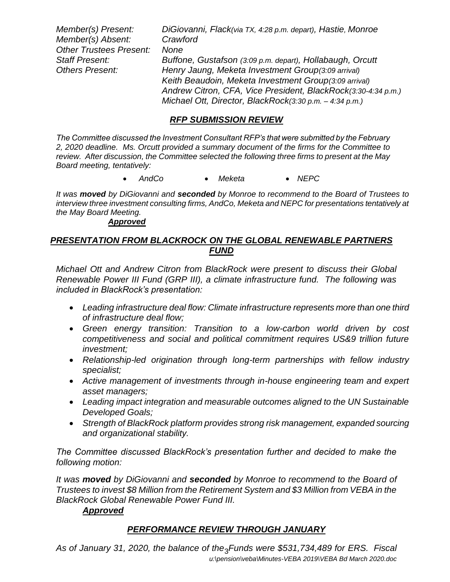*Member(s) Present: DiGiovanni, Flack(via TX, 4:28 p.m. depart), Hastie, Monroe Member(s) Absent: Crawford Other Trustees Present: None Staff Present: Buffone, Gustafson (3:09 p.m. depart), Hollabaugh, Orcutt Others Present: Henry Jaung, Meketa Investment Group(3:09 arrival) Keith Beaudoin, Meketa Investment Group(3:09 arrival) Andrew Citron, CFA, Vice President, BlackRock(3:30-4:34 p.m.) Michael Ott, Director, BlackRock(3:30 p.m. – 4:34 p.m.)*

#### *RFP SUBMISSION REVIEW*

*The Committee discussed the Investment Consultant RFP's that were submitted by the February 2, 2020 deadline. Ms. Orcutt provided a summary document of the firms for the Committee to review. After discussion, the Committee selected the following three firms to present at the May Board meeting, tentatively:*

• *AndCo* • *Meketa* • *NEPC*

*It was moved by DiGiovanni and seconded by Monroe to recommend to the Board of Trustees to interview three investment consulting firms, AndCo, Meketa and NEPC for presentations tentatively at the May Board Meeting.*

#### *Approved*

#### *PRESENTATION FROM BLACKROCK ON THE GLOBAL RENEWABLE PARTNERS FUND*

*Michael Ott and Andrew Citron from BlackRock were present to discuss their Global Renewable Power III Fund (GRP III), a climate infrastructure fund. The following was included in BlackRock's presentation:*

- *Leading infrastructure deal flow: Climate infrastructure represents more than one third of infrastructure deal flow;*
- *Green energy transition: Transition to a low-carbon world driven by cost competitiveness and social and political commitment requires US&9 trillion future investment;*
- *Relationship-led origination through long-term partnerships with fellow industry specialist;*
- *Active management of investments through in-house engineering team and expert asset managers;*
- *Leading impact integration and measurable outcomes aligned to the UN Sustainable Developed Goals;*
- *Strength of BlackRock platform provides strong risk management, expanded sourcing and organizational stability.*

*The Committee discussed BlackRock's presentation further and decided to make the following motion:*

*It was moved by DiGiovanni and seconded by Monroe to recommend to the Board of Trustees to invest \$8 Million from the Retirement System and \$3 Million from VEBA in the BlackRock Global Renewable Power Fund III.*

#### *Approved*

### *PERFORMANCE REVIEW THROUGH JANUARY*

*u:\pension\veba\Minutes-VEBA 2019\VEBA Bd March 2020.doc* As of January 31, 2020, the balance of the<sub>3</sub>Funds were \$531,734,489 for ERS. Fiscal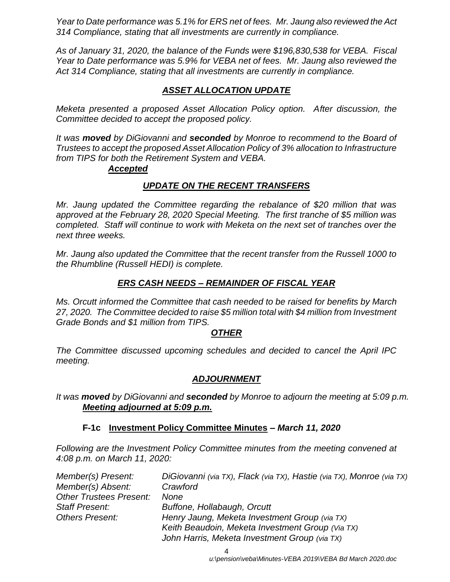*Year to Date performance was 5.1% for ERS net of fees. Mr. Jaung also reviewed the Act 314 Compliance, stating that all investments are currently in compliance.*

*As of January 31, 2020, the balance of the Funds were \$196,830,538 for VEBA. Fiscal Year to Date performance was 5.9% for VEBA net of fees. Mr. Jaung also reviewed the Act 314 Compliance, stating that all investments are currently in compliance.*

# *ASSET ALLOCATION UPDATE*

*Meketa presented a proposed Asset Allocation Policy option. After discussion, the Committee decided to accept the proposed policy.*

*It was moved by DiGiovanni and seconded by Monroe to recommend to the Board of Trustees to accept the proposed Asset Allocation Policy of 3% allocation to Infrastructure from TIPS for both the Retirement System and VEBA.*

#### *Accepted*

### *UPDATE ON THE RECENT TRANSFERS*

*Mr. Jaung updated the Committee regarding the rebalance of \$20 million that was approved at the February 28, 2020 Special Meeting. The first tranche of \$5 million was completed. Staff will continue to work with Meketa on the next set of tranches over the next three weeks.*

*Mr. Jaung also updated the Committee that the recent transfer from the Russell 1000 to the Rhumbline (Russell HEDI) is complete.*

### *ERS CASH NEEDS – REMAINDER OF FISCAL YEAR*

*Ms. Orcutt informed the Committee that cash needed to be raised for benefits by March 27, 2020. The Committee decided to raise \$5 million total with \$4 million from Investment Grade Bonds and \$1 million from TIPS.* 

### *OTHER*

*The Committee discussed upcoming schedules and decided to cancel the April IPC meeting.*

### *ADJOURNMENT*

*It was moved by DiGiovanni and seconded by Monroe to adjourn the meeting at 5:09 p.m. Meeting adjourned at 5:09 p.m.*

#### **F-1c Investment Policy Committee Minutes –** *March 11, 2020*

*Following are the Investment Policy Committee minutes from the meeting convened at 4:08 p.m. on March 11, 2020:*

| Member(s) Present:             | DiGiovanni (via TX), Flack (via TX), Hastie (via TX), Monroe (via TX) |
|--------------------------------|-----------------------------------------------------------------------|
| Member(s) Absent:              | Crawford                                                              |
| <b>Other Trustees Present:</b> | None                                                                  |
| Staff Present:                 | Buffone, Hollabaugh, Orcutt                                           |
| <b>Others Present:</b>         | Henry Jaung, Meketa Investment Group (via TX)                         |
|                                | Keith Beaudoin, Meketa Investment Group (Via TX)                      |
|                                | John Harris, Meketa Investment Group (via TX)                         |